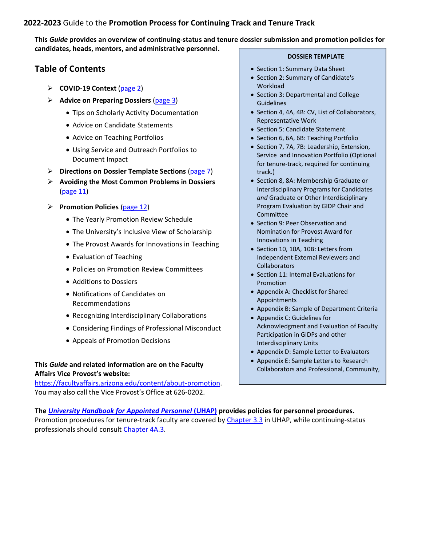### **2022-2023** Guide to the **Promotion Process for Continuing Track and Tenure Track**

**This** *Guide* **provides an overview of continuing-status and tenure dossier submission and promotion policies for candidates, heads, mentors, and administrative personnel.**

## **Table of Contents**

- ➢ **COVID-19 Context** [\(page 2\)](#page-1-0)
- ➢ **Advice on Preparing Dossiers** [\(page 3\)](#page-2-0)
	- Tips on Scholarly Activity Documentation
	- Advice on Candidate Statements
	- Advice on Teaching Portfolios
	- Using Service and Outreach Portfolios to Document Impact
- ➢ **Directions on Dossier Template Sections** [\(page 7\)](#page-6-0)
- ➢ **Avoiding the Most Common Problems in Dossiers** [\(page 11\)](#page-12-0)
- ➢ **Promotion Policies** [\(page 12\)](#page-13-0)
	- The Yearly Promotion Review Schedule
	- The University's Inclusive View of Scholarship
	- The Provost Awards for Innovations in Teaching
	- Evaluation of Teaching
	- Policies on Promotion Review Committees
	- Additions to Dossiers
	- Notifications of Candidates on Recommendations
	- Recognizing Interdisciplinary Collaborations
	- Considering Findings of Professional Misconduct
	- Appeals of Promotion Decisions

## **This** *Guide* **and related information are on the Faculty Affairs Vice Provost's website:**

[https://facultyaffairs.arizona.edu/content/about-promotion.](https://facultyaffairs.arizona.edu/content/about-promotion) You may also call the Vice Provost's Office at 626-0202.

#### **DOSSIER TEMPLATE**

- Section 1: Summary Data Sheet
- Section 2: Summary of Candidate's Workload
- Section 3: Departmental and College **Guidelines**
- Section 4, 4A, 4B: CV, List of Collaborators, Representative Work
- Section 5: Candidate Statement
- Section 6, 6A, 6B: Teaching Portfolio
- Section 7, 7A, 7B: Leadership, Extension, Service and Innovation Portfolio (Optional for tenure-track, required for continuing track.)
- Section 8, 8A: Membership Graduate or Interdisciplinary Programs for Candidates *and* Graduate or Other Interdisciplinary Program Evaluation by GIDP Chair and Committee
- Section 9: Peer Observation and Nomination for Provost Award for Innovations in Teaching
- Section 10, 10A, 10B: Letters from Independent External Reviewers and **Collaborators**
- Section 11: Internal Evaluations for Promotion
- Appendix A: Checklist for Shared Appointments
- Appendix B: Sample of Department Criteria
- Appendix C: Guidelines for Acknowledgment and Evaluation of Faculty Participation in GIDPs and other Interdisciplinary Units
- Appendix D: Sample Letter to Evaluators
- Appendix E: Sample Letters to Research Collaborators and Professional, Community,

**The** *[University Handbook for Appointed Personnel](http://policy.arizona.edu/university-handbook-appointed-personnel)* **(UHAP) provides policies for personnel procedures.** Promotion procedures for tenure-track faculty are covered by [Chapter 3.3](http://policy.arizona.edu/human-resources/promotion-and-tenure) in UHAP, while continuing-status professionals should consult [Chapter 4A.3.](http://policy.arizona.edu/human-resources/promotion-and-continuing-status)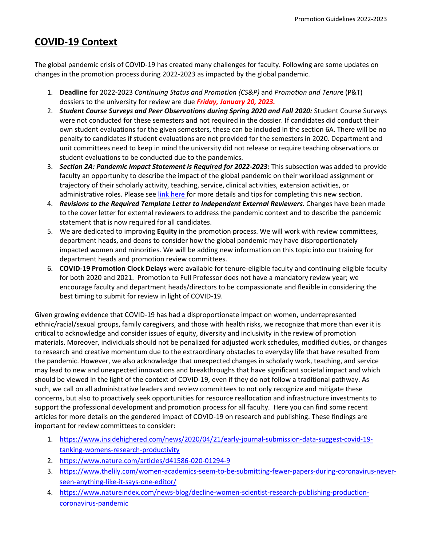# <span id="page-1-0"></span>**COVID-19 Context**

The global pandemic crisis of COVID-19 has created many challenges for faculty. Following are some updates on changes in the promotion process during 2022-2023 as impacted by the global pandemic.

- 1. **Deadline** for 2022-2023 *Continuing Status and Promotion (CS&P)* and *Promotion and Tenur*e (P&T) dossiers to the university for review are due *Friday, January 20, 2023.*
- 2. *Student Course Surveys and Peer Observations during Spring 2020 and Fall 2020: Student Course Surveys* were not conducted for these semesters and not required in the dossier. If candidates did conduct their own student evaluations for the given semesters, these can be included in the section 6A. There will be no penalty to candidates if student evaluations are not provided for the semesters in 2020. Department and unit committees need to keep in mind the university did not release or require teaching observations or student evaluations to be conducted due to the pandemics.
- 3. *Section 2A: Pandemic Impact Statement is Required for 2022-2023:* This subsection was added to provide faculty an opportunity to describe the impact of the global pandemic on their workload assignment or trajectory of their scholarly activity, teaching, service, clinical activities, extension activities, or administrative roles. Please see [link here](https://facultyaffairs.arizona.edu/sites/default/files/2022-23_02A_CT_CSP_PT_Pandemic%20Impact%20Statement.pdf) for more details and tips for completing this new section.
- 4. **Revisions to the Required Template Letter to Independent External Reviewers.** Changes have been made to the cover letter for external reviewers to address the pandemic context and to describe the pandemic statement that is now required for all candidates.
- 5. We are dedicated to improving **Equity** in the promotion process. We will work with review committees, department heads, and deans to consider how the global pandemic may have disproportionately impacted women and minorities. We will be adding new information on this topic into our training for department heads and promotion review committees.
- 6. **COVID-19 Promotion Clock Delays** were available for tenure-eligible faculty and continuing eligible faculty for both 2020 and 2021. Promotion to Full Professor does not have a mandatory review year; we encourage faculty and department heads/directors to be compassionate and flexible in considering the best timing to submit for review in light of COVID-19.

Given growing evidence that COVID-19 has had a disproportionate impact on women, underrepresented ethnic/racial/sexual groups, family caregivers, and those with health risks, we recognize that more than ever it is critical to acknowledge and consider issues of equity, diversity and inclusivity in the review of promotion materials. Moreover, individuals should not be penalized for adjusted work schedules, modified duties, or changes to research and creative momentum due to the extraordinary obstacles to everyday life that have resulted from the pandemic. However, we also acknowledge that unexpected changes in scholarly work, teaching, and service may lead to new and unexpected innovations and breakthroughs that have significant societal impact and which should be viewed in the light of the context of COVID-19, even if they do not follow a traditional pathway. As such, we call on all administrative leaders and review committees to not only recognize and mitigate these concerns, but also to proactively seek opportunities for resource reallocation and infrastructure investments to support the professional development and promotion process for all faculty. Here you can find some recent articles for more details on the gendered impact of COVID-19 on research and publishing. These findings are important for review committees to consider:

- 1. [https://www.insidehighered.com/news/2020/04/21/early-journal-submission-data-suggest-covid-19](https://www.insidehighered.com/news/2020/04/21/early-journal-submission-data-suggest-covid-19-tanking-womens-research-productivity) [tanking-womens-research-productivity](https://www.insidehighered.com/news/2020/04/21/early-journal-submission-data-suggest-covid-19-tanking-womens-research-productivity)
- 2. <https://www.nature.com/articles/d41586-020-01294-9>
- 3. [https://www.thelily.com/women-academics-seem-to-be-submitting-fewer-papers-during-coronavirus-never](https://www.thelily.com/women-academics-seem-to-be-submitting-fewer-papers-during-coronavirus-never-seen-anything-like-it-says-one-editor/)[seen-anything-like-it-says-one-editor/](https://www.thelily.com/women-academics-seem-to-be-submitting-fewer-papers-during-coronavirus-never-seen-anything-like-it-says-one-editor/)
- 4. [https://www.natureindex.com/news-blog/decline-women-scientist-research-publishing-production](https://www.natureindex.com/news-blog/decline-women-scientist-research-publishing-production-coronavirus-pandemic)[coronavirus-pandemic](https://www.natureindex.com/news-blog/decline-women-scientist-research-publishing-production-coronavirus-pandemic)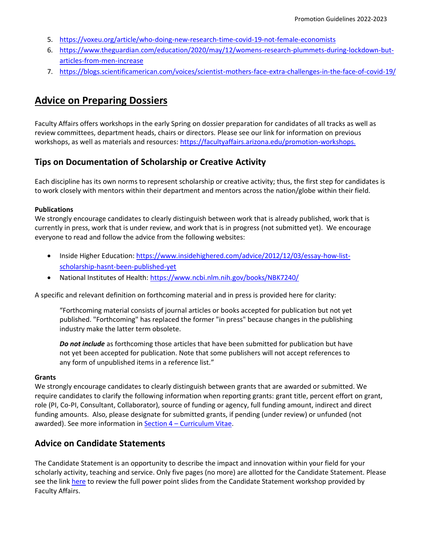- 5. <https://voxeu.org/article/who-doing-new-research-time-covid-19-not-female-economists>
- 6. [https://www.theguardian.com/education/2020/may/12/womens-research-plummets-during-lockdown-but](https://www.theguardian.com/education/2020/may/12/womens-research-plummets-during-lockdown-but-articles-from-men-increase)[articles-from-men-increase](https://www.theguardian.com/education/2020/may/12/womens-research-plummets-during-lockdown-but-articles-from-men-increase)
- 7. <https://blogs.scientificamerican.com/voices/scientist-mothers-face-extra-challenges-in-the-face-of-covid-19/>

# <span id="page-2-0"></span>**Advice on Preparing Dossiers**

Faculty Affairs offers workshops in the early Spring on dossier preparation for candidates of all tracks as well as review committees, department heads, chairs or directors. Please see our link for information on previous workshops, as well as materials and resources[: https://facultyaffairs.arizona.edu/promotion-workshops.](https://facultyaffairs.arizona.edu/promotion-workshops)

## **Tips on Documentation of Scholarship or Creative Activity**

Each discipline has its own norms to represent scholarship or creative activity; thus, the first step for candidates is to work closely with mentors within their department and mentors across the nation/globe within their field.

#### **Publications**

We strongly encourage candidates to clearly distinguish between work that is already published, work that is currently in press, work that is under review, and work that is in progress (not submitted yet). We encourage everyone to read and follow the advice from the following websites:

- Inside Higher Education[: https://www.insidehighered.com/advice/2012/12/03/essay-how-list](https://www.insidehighered.com/advice/2012/12/03/essay-how-list-scholarship-hasnt-been-published-yet)[scholarship-hasnt-been-published-yet](https://www.insidehighered.com/advice/2012/12/03/essay-how-list-scholarship-hasnt-been-published-yet)
- National Institutes of Health:<https://www.ncbi.nlm.nih.gov/books/NBK7240/>

A specific and relevant definition on forthcoming material and in press is provided here for clarity:

"Forthcoming material consists of journal articles or books accepted for publication but not yet published. "Forthcoming" has replaced the former "in press" because changes in the publishing industry make the latter term obsolete.

*Do not include* as forthcoming those articles that have been submitted for publication but have not yet been accepted for publication. Note that some publishers will not accept references to any form of unpublished items in a reference list."

#### **Grants**

We strongly encourage candidates to clearly distinguish between grants that are awarded or submitted. We require candidates to clarify the following information when reporting grants: grant title, percent effort on grant, role (PI, Co-PI, Consultant, Collaborator), source of funding or agency, full funding amount, indirect and direct funding amounts. Also, please designate for submitted grants, if pending (under review) or unfunded (not awarded). See more information in Section 4 – [Curriculum Vitae.](https://facultyaffairs.arizona.edu/sites/default/files/2022-23_04_CT_PT_Curriculum%20Vitae.pdf)

## **Advice on Candidate Statements**

The Candidate Statement is an opportunity to describe the impact and innovation within your field for your scholarly activity, teaching and service. Only five pages (no more) are allotted for the Candidate Statement. Please see the link [here](https://facultyaffairs.arizona.edu/promotion-workshops) to review the full power point slides from the Candidate Statement workshop provided by Faculty Affairs.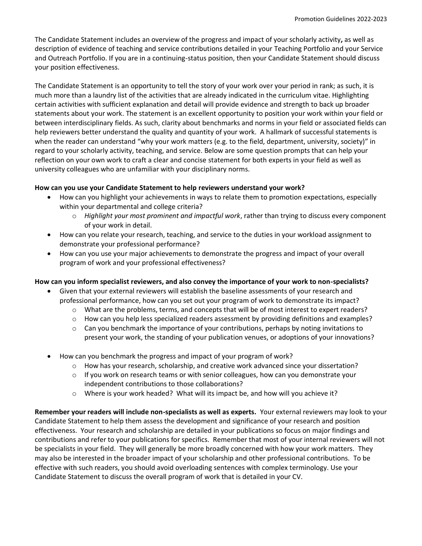The Candidate Statement includes an overview of the progress and impact of your scholarly activity**,** as well as description of evidence of teaching and service contributions detailed in your Teaching Portfolio and your Service and Outreach Portfolio. If you are in a continuing-status position, then your Candidate Statement should discuss your position effectiveness.

The Candidate Statement is an opportunity to tell the story of your work over your period in rank; as such, it is much more than a laundry list of the activities that are already indicated in the curriculum vitae. Highlighting certain activities with sufficient explanation and detail will provide evidence and strength to back up broader statements about your work. The statement is an excellent opportunity to position your work within your field or between interdisciplinary fields. As such, clarity about benchmarks and norms in your field or associated fields can help reviewers better understand the quality and quantity of your work. A hallmark of successful statements is when the reader can understand "why your work matters (e.g. to the field, department, university, society)" in regard to your scholarly activity, teaching, and service. Below are some question prompts that can help your reflection on your own work to craft a clear and concise statement for both experts in your field as well as university colleagues who are unfamiliar with your disciplinary norms.

### **How can you use your Candidate Statement to help reviewers understand your work?**

- How can you highlight your achievements in ways to relate them to promotion expectations, especially within your departmental and college criteria?
	- o *Highlight your most prominent and impactful work*, rather than trying to discuss every component of your work in detail.
- How can you relate your research, teaching, and service to the duties in your workload assignment to demonstrate your professional performance?
- How can you use your major achievements to demonstrate the progress and impact of your overall program of work and your professional effectiveness?

### **How can you inform specialist reviewers, and also convey the importance of your work to non-specialists?**

- Given that your external reviewers will establish the baseline assessments of your research and professional performance, how can you set out your program of work to demonstrate its impact?
	- o What are the problems, terms, and concepts that will be of most interest to expert readers?
	- $\circ$  How can you help less specialized readers assessment by providing definitions and examples?
	- $\circ$  Can you benchmark the importance of your contributions, perhaps by noting invitations to present your work, the standing of your publication venues, or adoptions of your innovations?
- How can you benchmark the progress and impact of your program of work?
	- o How has your research, scholarship, and creative work advanced since your dissertation?
	- $\circ$  If you work on research teams or with senior colleagues, how can you demonstrate your independent contributions to those collaborations?
	- $\circ$  Where is your work headed? What will its impact be, and how will you achieve it?

**Remember your readers will include non-specialists as well as experts.** Your external reviewers may look to your Candidate Statement to help them assess the development and significance of your research and position effectiveness. Your research and scholarship are detailed in your publications so focus on major findings and contributions and refer to your publications for specifics. Remember that most of your internal reviewers will not be specialists in your field. They will generally be more broadly concerned with how your work matters. They may also be interested in the broader impact of your scholarship and other professional contributions. To be effective with such readers, you should avoid overloading sentences with complex terminology. Use your Candidate Statement to discuss the overall program of work that is detailed in your CV.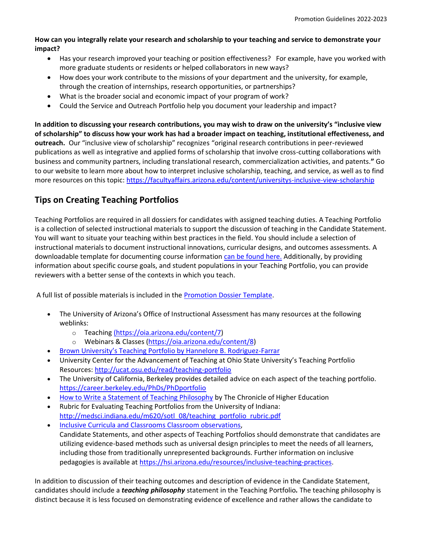### **How can you integrally relate your research and scholarship to your teaching and service to demonstrate your impact?**

- Has your research improved your teaching or position effectiveness? For example, have you worked with more graduate students or residents or helped collaborators in new ways?
- How does your work contribute to the missions of your department and the university, for example, through the creation of internships, research opportunities, or partnerships?
- What is the broader social and economic impact of your program of work?
- Could the Service and Outreach Portfolio help you document your leadership and impact?

**In addition to discussing your research contributions, you may wish to draw on the university's "inclusive view of scholarship" to discuss how your work has had a broader impact on teaching, institutional effectiveness, and outreach.** Our "inclusive view of scholarship" recognizes "original research contributions in peer-reviewed publications as well as integrative and applied forms of scholarship that involve cross-cutting collaborations with business and community partners, including translational research, commercialization activities, and patents.**"** Go to our website to learn more about how to interpret inclusive scholarship, teaching, and service, as well as to find more resources on this topic:<https://facultyaffairs.arizona.edu/content/universitys-inclusive-view-scholarship>

## **Tips on Creating Teaching Portfolios**

Teaching Portfolios are required in all dossiers for candidates with assigned teaching duties. A Teaching Portfolio is a collection of selected instructional materials to support the discussion of teaching in the Candidate Statement. You will want to situate your teaching within best practices in the field. You should include a selection of instructional materials to document instructional innovations, curricular designs, and outcomes assessments. A downloadable template for documenting course information [can be found here.](https://facultyaffairs.arizona.edu/sites/default/files/2022-23_06_CT_CSP_PT_Teaching%20Portfolio%20%26%20Resources.pdf) Additionally, by providing information about specific course goals, and student populations in your Teaching Portfolio, you can provide reviewers with a better sense of the contexts in which you teach.

A full list of possible materials is included in the [Promotion Dossier Template.](https://facultyaffairs.arizona.edu/content/promotion-dossier-templates)

- The University of Arizona's Office of Instructional Assessment has many resources at the following weblinks:
	- o [Teaching](https://oia.arizona.edu/content/7) [\(https://oia.arizona.edu/content/7\)](https://oia.arizona.edu/content/7)
	- o Webinars & Classes [\(https://oia.arizona.edu/content/8\)](https://oia.arizona.edu/content/8)
	- [Brown University's Teaching Portfolio by Hannelore B. Rodriguez](https://facultyaffairs.arizona.edu/sites/default/files/The%20Teaching%20Portfolio.pdf)-Farrar
- University Center for the Advancement of Teaching at Ohio State University's Teaching Portfolio Resources:<http://ucat.osu.edu/read/teaching-portfolio>
- The University of California, Berkeley provides detailed advice on each aspect of the teaching portfolio. <https://career.berkeley.edu/PhDs/PhDportfolio>
- [How to Write a Statement of Teaching Philosophy](https://www.chronicle.com/article/How-to-Write-a-Statement-of/45133) by The Chronicle of Higher Education
- Rubric for Evaluating Teaching Portfolios from the University of Indiana: [http://medsci.indiana.edu/m620/sotl\\_08/teaching\\_portfolio\\_rubric.pdf](http://medsci.indiana.edu/m620/sotl_08/teaching_portfolio_rubric.pdf)
- [Inclusive Curricula and Classrooms Classroom observations,](https://diversity.arizona.edu/creating-inclusive-classrooms) Candidate Statements, and other aspects of Teaching Portfolios should demonstrate that candidates are utilizing evidence-based methods such as universal design principles to meet the needs of all learners, including those from traditionally unrepresented backgrounds. Further information on inclusive pedagogies is available at [https://hsi.arizona.edu/resources/inclusive-teaching-practices.](https://hsi.arizona.edu/resources/inclusive-teaching-practices)

In addition to discussion of their teaching outcomes and description of evidence in the Candidate Statement, candidates should include a *teaching philosophy* statement in the Teaching Portfolio*.* The teaching philosophy is distinct because it is less focused on demonstrating evidence of excellence and rather allows the candidate to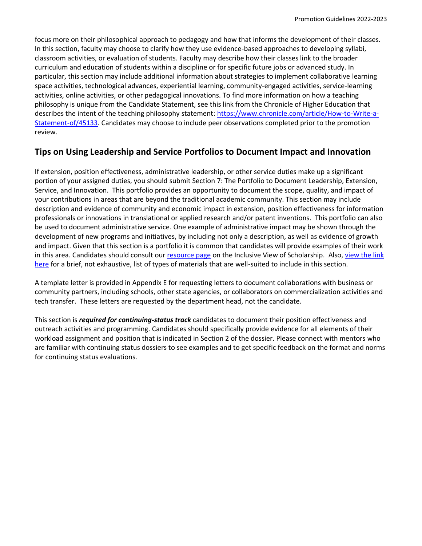focus more on their philosophical approach to pedagogy and how that informs the development of their classes. In this section, faculty may choose to clarify how they use evidence-based approaches to developing syllabi, classroom activities, or evaluation of students. Faculty may describe how their classes link to the broader curriculum and education of students within a discipline or for specific future jobs or advanced study. In particular, this section may include additional information about strategies to implement collaborative learning space activities, technological advances, experiential learning, community-engaged activities, service-learning activities, online activities, or other pedagogical innovations. To find more information on how a teaching philosophy is unique from the Candidate Statement, see this link from the Chronicle of Higher Education that describes the intent of the teaching philosophy statement: [https://www.chronicle.com/article/How-to-Write-a-](https://www.chronicle.com/article/How-to-Write-a-Statement-of/45133)[Statement-of/45133.](https://www.chronicle.com/article/How-to-Write-a-Statement-of/45133) Candidates may choose to include peer observations completed prior to the promotion review.

## **Tips on Using Leadership and Service Portfolios to Document Impact and Innovation**

If extension, position effectiveness, administrative leadership, or other service duties make up a significant portion of your assigned duties, you should submit Section 7: The Portfolio to Document Leadership, Extension, Service, and Innovation. This portfolio provides an opportunity to document the scope, quality, and impact of your contributions in areas that are beyond the traditional academic community. This section may include description and evidence of community and economic impact in extension, position effectiveness for information professionals or innovations in translational or applied research and/or patent inventions. This portfolio can also be used to document administrative service. One example of administrative impact may be shown through the development of new programs and initiatives, by including not only a description, as well as evidence of growth and impact. Given that this section is a portfolio it is common that candidates will provide examples of their work in this area. Candidates should consult ou[r resource page](https://facultyaffairs.arizona.edu/node/329) on the Inclusive View of Scholarship. Also, view the link [here](https://facultyaffairs.arizona.edu/sites/default/files/2022-23_07_CT_CSP_PT_Portfolio%20for%20LESI_0.pdf) for a brief, not exhaustive, list of types of materials that are well-suited to include in this section.

A template letter is provided in Appendix E for requesting letters to document collaborations with business or community partners, including schools, other state agencies, or collaborators on commercialization activities and tech transfer. These letters are requested by the department head, not the candidate.

This section is *required for continuing-status track* candidates to document their position effectiveness and outreach activities and programming. Candidates should specifically provide evidence for all elements of their workload assignment and position that is indicated in Section 2 of the dossier. Please connect with mentors who are familiar with continuing status dossiers to see examples and to get specific feedback on the format and norms for continuing status evaluations.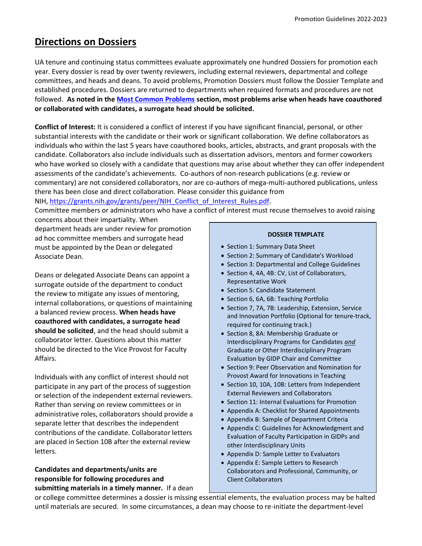# <span id="page-6-0"></span>**Directions on Dossiers**

UA tenure and continuing status committees evaluate approximately one hundred Dossiers for promotion each year. Every dossier is read by over twenty reviewers, including external reviewers, departmental and college committees, and heads and deans. To avoid problems, Promotion Dossiers must follow the Dossier Template and established procedures. Dossiers are returned to departments when required formats and procedures are not followed. **As noted in the [Most Common Problems](https://facultyaffairs.arizona.edu/node/373) section, most problems arise when heads have coauthored or collaborated with candidates, a surrogate head should be solicited.**

**Conflict of Interest:** It is considered a conflict of interest if you have significant financial, personal, or other substantial interests with the candidate or their work or significant collaboration. We define collaborators as individuals who within the last 5 years have coauthored books, articles, abstracts, and grant proposals with the candidate. Collaborators also include individuals such as dissertation advisors, mentors and former coworkers who have worked so closely with a candidate that questions may arise about whether they can offer independent assessments of the candidate's achievements. Co-authors of non-research publications (e.g. review or commentary) are not considered collaborators, nor are co-authors of mega-multi-authored publications, unless there has been close and direct collaboration. Please consider this guidance from

NIH, [https://grants.nih.gov/grants/peer/NIH\\_Conflict\\_of\\_Interest\\_Rules.pdf.](https://grants.nih.gov/grants/peer/NIH_Conflict_of_Interest_Rules.pdf)

Committee members or administrators who have a conflict of interest must recuse themselves to avoid raising concerns about their impartiality. When

department heads are under review for promotion ad hoc committee members and surrogate head must be appointed by the Dean or delegated Associate Dean.

Deans or delegated Associate Deans can appoint a surrogate outside of the department to conduct the review to mitigate any issues of mentoring, internal collaborations, or questions of maintaining a balanced review process. **When heads have coauthored with candidates, a surrogate head should be solicited**, and the head should submit a collaborator letter. Questions about this matter should be directed to the Vice Provost for Faculty Affairs.

Individuals with any conflict of interest should not participate in any part of the process of suggestion or selection of the independent external reviewers. Rather than serving on review committees or in administrative roles, collaborators should provide a separate letter that describes the independent contributions of the candidate. Collaborator letters are placed in Section 10B after the external review letters.

**Candidates and departments/units are responsible for following procedures and submitting materials in a timely manner.** If a dean

#### **DOSSIER TEMPLATE**

- Section 1: Summary Data Sheet
- Section 2: Summary of Candidate's Workload
- Section 3: Departmental and College Guidelines
- Section 4, 4A, 4B: CV, List of Collaborators, Representative Work
- Section 5: Candidate Statement
- Section 6, 6A, 6B: Teaching Portfolio
- Section 7, 7A, 7B: Leadership, Extension, Service and Innovation Portfolio (Optional for tenure-track, required for continuing track.)
- Section 8, 8A: Membership Graduate or Interdisciplinary Programs for Candidates *and* Graduate or Other Interdisciplinary Program Evaluation by GIDP Chair and Committee
- Section 9: Peer Observation and Nomination for Provost Award for Innovations in Teaching
- Section 10, 10A, 10B: Letters from Independent External Reviewers and Collaborators
- Section 11: Internal Evaluations for Promotion
- Appendix A: Checklist for Shared Appointments
- Appendix B: Sample of Department Criteria
- Appendix C: Guidelines for Acknowledgment and Evaluation of Faculty Participation in GIDPs and other Interdisciplinary Units
- Appendix D: Sample Letter to Evaluators
- Appendix E: Sample Letters to Research Collaborators and Professional, Community, or Client Collaborators

or college committee determines a dossier is missing essential elements, the evaluation process may be halted until materials are secured. In some circumstances, a dean may choose to re-initiate the department-level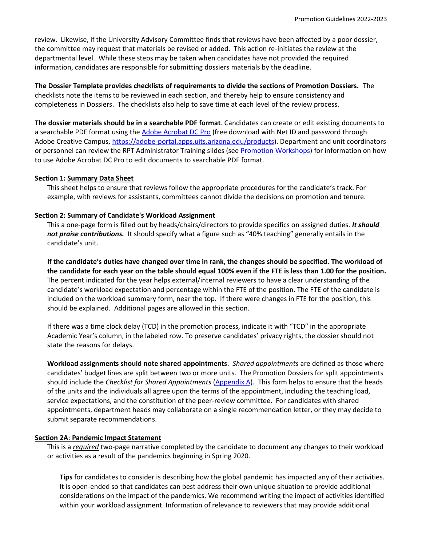review. Likewise, if the University Advisory Committee finds that reviews have been affected by a poor dossier, the committee may request that materials be revised or added. This action re-initiates the review at the departmental level. While these steps may be taken when candidates have not provided the required information, candidates are responsible for submitting dossiers materials by the deadline.

**The Dossier Template provides checklists of requirements to divide the sections of Promotion Dossiers.** The checklists note the items to be reviewed in each section, and thereby help to ensure consistency and completeness in Dossiers. The checklists also help to save time at each level of the review process.

**The dossier materials should be in a searchable PDF format**. Candidates can create or edit existing documents to a searchable PDF format using th[e Adobe Acrobat DC Pro](https://helpx.adobe.com/acrobat/using/scan-documents-pdf.html) (free download with Net ID and password through Adobe Creative Campus, [https://adobe-portal.apps.uits.arizona.edu/products\)](https://adobe-portal.apps.uits.arizona.edu/products). Department and unit coordinators or personnel can review the RPT Administrator Training slides (see [Promotion Workshops\)](https://facultyaffairs.arizona.edu/promotion-workshops) for information on how to use Adobe Acrobat DC Pro to edit documents to searchable PDF format.

#### **Section 1: Summary Data Sheet**

This sheet helps to ensure that reviews follow the appropriate procedures for the candidate's track. For example, with reviews for assistants, committees cannot divide the decisions on promotion and tenure.

#### **Section 2: Summary of Candidate's Workload Assignment**

This a one-page form is filled out by heads/chairs/directors to provide specifics on assigned duties. *It should not praise contributions.* It should specify what a figure such as "40% teaching" generally entails in the candidate's unit.

**If the candidate's duties have changed over time in rank, the changes should be specified. The workload of the candidate for each year on the table should equal 100% even if the FTE is less than 1.00 for the position.** The percent indicated for the year helps external/internal reviewers to have a clear understanding of the candidate's workload expectation and percentage within the FTE of the position. The FTE of the candidate is included on the workload summary form, near the top. If there were changes in FTE for the position, this should be explained. Additional pages are allowed in this section.

If there was a time clock delay (TCD) in the promotion process, indicate it with "TCD" in the appropriate Academic Year's column, in the labeled row. To preserve candidates' privacy rights, the dossier should not state the reasons for delays.

**Workload assignments should note shared appointments**. *Shared appointments* are defined as those where candidates' budget lines are split between two or more units. The Promotion Dossiers for split appointments should include the *Checklist for Shared Appointments* [\(Appendix A\)](https://facultyaffairs.arizona.edu/sites/default/files/2021-22_AppendixA_CT_CSP_PT_Checklist%20for%20Shared%20Appointments.pdf). This form helps to ensure that the heads of the units and the individuals all agree upon the terms of the appointment, including the teaching load, service expectations, and the constitution of the peer-review committee. For candidates with shared appointments, department heads may collaborate on a single recommendation letter, or they may decide to submit separate recommendations.

#### **Section 2A**: **Pandemic Impact Statement**

This is a *required* two-page narrative completed by the candidate to document any changes to their workload or activities as a result of the pandemics beginning in Spring 2020.

**Tips** for candidates to consider is describing how the global pandemic has impacted any of their activities. It is open-ended so that candidates can best address their own unique situation to provide additional considerations on the impact of the pandemics. We recommend writing the impact of activities identified within your workload assignment. Information of relevance to reviewers that may provide additional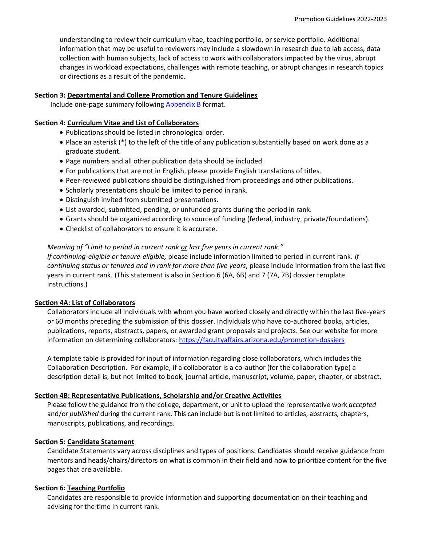understanding to review their curriculum vitae, teaching portfolio, or service portfolio. Additional information that may be useful to reviewers may include a slowdown in research due to lab access, data collection with human subjects, lack of access to work with collaborators impacted by the virus, abrupt changes in workload expectations, challenges with remote teaching, or abrupt changes in research topics or directions as a result of the pandemic.

#### **Section 3: Departmental and College Promotion and Tenure Guidelines**

Include one-page summary following [Appendix B](https://facultyaffairs.arizona.edu/promotion-dossier-templates) format.

#### **Section 4: Curriculum Vitae and List of Collaborators**

- Publications should be listed in chronological order.
- Place an asterisk (\*) to the left of the title of any publication substantially based on work done as a graduate student.
- Page numbers and all other publication data should be included.
- For publications that are not in English, please provide English translations of titles.
- Peer-reviewed publications should be distinguished from proceedings and other publications.
- Scholarly presentations should be limited to period in rank.
- Distinguish invited from submitted presentations.
- List awarded, submitted, pending, or unfunded grants during the period in rank.
- Grants should be organized according to source of funding (federal, industry, private/foundations).
- Checklist of collaborators to ensure it is accurate.

#### *Meaning of "Limit to period in current rank or last five years in current rank."*

*If continuing-eligible or tenure-eligible,* please include information limited to period in current rank. *If continuing status or tenured and in rank for more than five years*, please include information from the last five years in current rank. (This statement is also in Section 6 (6A, 6B) and 7 (7A, 7B) dossier template instructions.)

#### **Section 4A: List of Collaborators**

Collaborators include all individuals with whom you have worked closely and directly within the last five-years or 60 months preceding the submission of this dossier. Individuals who have co-authored books, articles, publications, reports, abstracts, papers, or awarded grant proposals and projects. See our website for more information on determining collaborators:<https://facultyaffairs.arizona.edu/promotion-dossiers>

A template table is provided for input of information regarding close collaborators, which includes the Collaboration Description. For example, if a collaborator is a co-author (for the collaboration type) a description detail is, but not limited to book, journal article, manuscript, volume, paper, chapter, or abstract.

#### **Section 4B: Representative Publications, Scholarship and/or Creative Activities**

Please follow the guidance from the college, department, or unit to upload the representative work *accepted* and/or *published* during the current rank. This can include but is not limited to articles, abstracts, chapters, manuscripts, publications, and recordings.

#### **Section 5: Candidate Statement**

Candidate Statements vary across disciplines and types of positions. Candidates should receive guidance from mentors and heads/chairs/directors on what is common in their field and how to prioritize content for the five pages that are available.

#### **Section 6: Teaching Portfolio**

Candidates are responsible to provide information and supporting documentation on their teaching and advising for the time in current rank.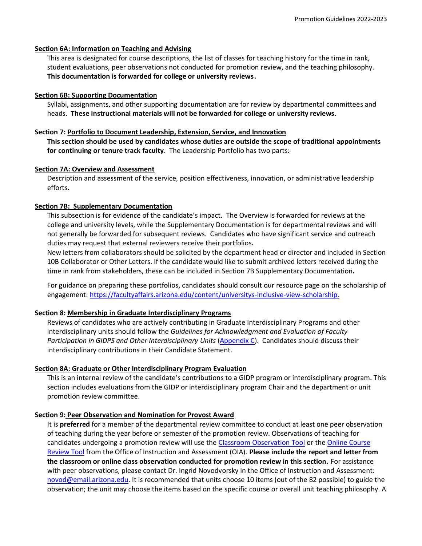#### **Section 6A: Information on Teaching and Advising**

This area is designated for course descriptions, the list of classes for teaching history for the time in rank, student evaluations, peer observations not conducted for promotion review, and the teaching philosophy. **This documentation is forwarded for college or university reviews.**

#### **Section 6B: Supporting Documentation**

Syllabi, assignments, and other supporting documentation are for review by departmental committees and heads. **These instructional materials will not be forwarded for college or university reviews**.

#### **Section 7: Portfolio to Document Leadership, Extension, Service, and Innovation**

**This section should be used by candidates whose duties are outside the scope of traditional appointments for continuing or tenure track faculty**. The Leadership Portfolio has two parts:

#### **Section 7A: Overview and Assessment**

Description and assessment of the service, position effectiveness, innovation, or administrative leadership efforts.

#### **Section 7B: Supplementary Documentation**

This subsection is for evidence of the candidate's impact. The Overview is forwarded for reviews at the college and university levels, while the Supplementary Documentation is for departmental reviews and will not generally be forwarded for subsequent reviews. Candidates who have significant service and outreach duties may request that external reviewers receive their portfolios**.**

New letters from collaborators should be solicited by the department head or director and included in Section 10B Collaborator or Other Letters. If the candidate would like to submit archived letters received during the time in rank from stakeholders, these can be included in Section 7B Supplementary Documentation**.**

For guidance on preparing these portfolios, candidates should consult our resource page on the scholarship of engagement: [https://facultyaffairs.arizona.edu/content/universitys-inclusive-view-scholarship.](https://facultyaffairs.arizona.edu/content/universitys-inclusive-view-scholarship)

#### **Section 8: Membership in Graduate Interdisciplinary Programs**

Reviews of candidates who are actively contributing in Graduate Interdisciplinary Programs and other interdisciplinary units should follow the *Guidelines for Acknowledgment and Evaluation of Faculty*  Participation in GIDPS and Other Interdisciplinary Units [\(Appendix C\)](https://facultyaffairs.arizona.edu/sites/default/files/2022-23_AppendixC_CT_CSP_PT_GIDP%20Interdisciplinary%20Activities.pdf). Candidates should discuss their interdisciplinary contributions in their Candidate Statement.

#### **Section 8A: Graduate or Other Interdisciplinary Program Evaluation**

This is an internal review of the candidate's contributions to a GIDP program or interdisciplinary program. This section includes evaluations from the GIDP or interdisciplinary program Chair and the department or unit promotion review committee.

#### **Section 9: Peer Observation and Nomination for Provost Award**

It is **preferred** for a member of the departmental review committee to conduct at least one peer observation of teaching during the year before or semester of the promotion review. Observations of teaching for candidates undergoing a promotion review will use the [Classroom Observation Tool](https://teachingprotocol.oia.arizona.edu/content/4) or the Online Course [Review Tool](https://teachingprotocol.oia.arizona.edu/content/6) from the Office of Instruction and Assessment (OIA). **Please include the report and letter from the classroom or online class observation conducted for promotion review in this section.** For assistance with peer observations, please contact Dr. Ingrid Novodvorsky in the Office of Instruction and Assessment: [novod@email.arizona.edu.](mailto:novod@email.arizona.edu) It is recommended that units choose 10 items (out of the 82 possible) to guide the observation; the unit may choose the items based on the specific course or overall unit teaching philosophy. A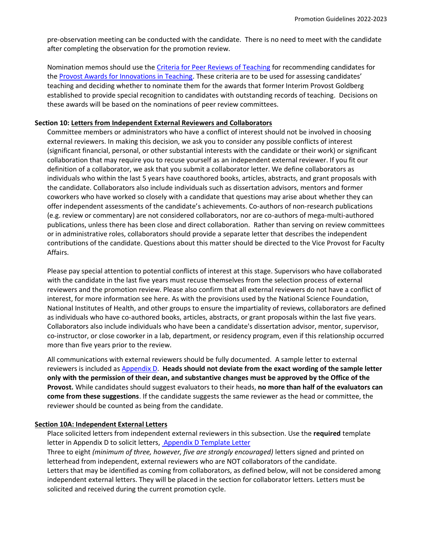pre-observation meeting can be conducted with the candidate. There is no need to meet with the candidate after completing the observation for the promotion review.

Nomination memos should use the [Criteria for Peer Reviews of Teaching](https://facultyaffairs.arizona.edu/sites/default/files/2022-23_CT_CSP_PT_Criteria%20for%20Evaluating%20Teaching%20and%20Provost%20Award%20Nomination.pdf) for recommending candidates for the [Provost Awards for Innovations in Teaching](https://facultyaffairs.arizona.edu/content/provost-award-innovations-teaching). These criteria are to be used for assessing candidates' teaching and deciding whether to nominate them for the awards that former Interim Provost Goldberg established to provide special recognition to candidates with outstanding records of teaching. Decisions on these awards will be based on the nominations of peer review committees.

#### **Section 10: Letters from Independent External Reviewers and Collaborators**

Committee members or administrators who have a conflict of interest should not be involved in choosing external reviewers. In making this decision, we ask you to consider any possible conflicts of interest (significant financial, personal, or other substantial interests with the candidate or their work) or significant collaboration that may require you to recuse yourself as an independent external reviewer. If you fit our definition of a collaborator, we ask that you submit a collaborator letter. We define collaborators as individuals who within the last 5 years have coauthored books, articles, abstracts, and grant proposals with the candidate. Collaborators also include individuals such as dissertation advisors, mentors and former coworkers who have worked so closely with a candidate that questions may arise about whether they can offer independent assessments of the candidate's achievements. Co-authors of non-research publications (e.g. review or commentary) are not considered collaborators, nor are co-authors of mega-multi-authored publications, unless there has been close and direct collaboration. Rather than serving on review committees or in administrative roles, collaborators should provide a separate letter that describes the independent contributions of the candidate. Questions about this matter should be directed to the Vice Provost for Faculty Affairs.

Please pay special attention to potential conflicts of interest at this stage. Supervisors who have collaborated with the candidate in the last five years must recuse themselves from the selection process of external reviewers and the promotion review. Please also confirm that all external reviewers do not have a conflict of interest, for more information see here. As with the provisions used by the National Science Foundation, National Institutes of Health, and other groups to ensure the impartiality of reviews, collaborators are defined as individuals who have co-authored books, articles, abstracts, or grant proposals within the last five years. Collaborators also include individuals who have been a candidate's dissertation advisor, mentor, supervisor, co-instructor, or close coworker in a lab, department, or residency program, even if this relationship occurred more than five years prior to the review.

All communications with external reviewers should be fully documented. A sample letter to external reviewers is included as [Appendix D.](https://facultyaffairs.arizona.edu/promotion-dossier-templates) **Heads should not deviate from the exact wording of the sample letter only with the permission of their dean, and substantive changes must be approved by the Office of the Provost.** While candidates should suggest evaluators to their heads, **no more than half of the evaluators can come from these suggestions**. If the candidate suggests the same reviewer as the head or committee, the reviewer should be counted as being from the candidate.

#### **Section 10A: Independent External Letters**

Place solicited letters from independent external reviewers in this subsection. Use the **required** template letter in Appendix D to solicit letters, [Appendix D Template Letter](https://facultyaffairs.arizona.edu/content/promotion-dossier-templates)

Three to eight *(minimum of three, however, five are strongly encouraged)* letters signed and printed on letterhead from independent, external reviewers who are NOT collaborators of the candidate. Letters that may be identified as coming from collaborators, as defined below, will not be considered among independent external letters. They will be placed in the section for collaborator letters. Letters must be solicited and received during the current promotion cycle.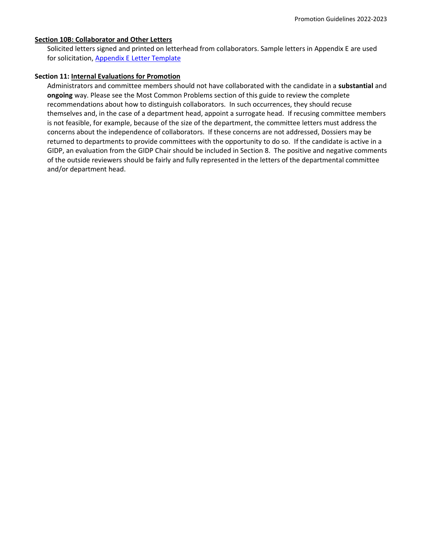#### **Section 10B: Collaborator and Other Letters**

Solicited letters signed and printed on letterhead from collaborators. Sample letters in Appendix E are used for solicitation, [Appendix E Letter Template](https://facultyaffairs.arizona.edu/content/promotion-dossier-templates)

#### **Section 11: Internal Evaluations for Promotion**

Administrators and committee members should not have collaborated with the candidate in a **substantial** and **ongoing** way. Please see the Most Common Problems section of this guide to review the complete recommendations about how to distinguish collaborators. In such occurrences, they should recuse themselves and, in the case of a department head, appoint a surrogate head. If recusing committee members is not feasible, for example, because of the size of the department, the committee letters must address the concerns about the independence of collaborators. If these concerns are not addressed, Dossiers may be returned to departments to provide committees with the opportunity to do so. If the candidate is active in a GIDP, an evaluation from the GIDP Chair should be included in Section 8. The positive and negative comments of the outside reviewers should be fairly and fully represented in the letters of the departmental committee and/or department head.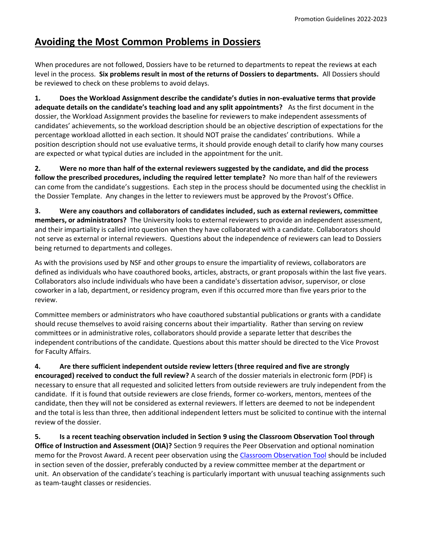# <span id="page-12-0"></span>**Avoiding the Most Common Problems in Dossiers**

When procedures are not followed, Dossiers have to be returned to departments to repeat the reviews at each level in the process. **Six problems result in most of the returns of Dossiers to departments.** All Dossiers should be reviewed to check on these problems to avoid delays.

**1. Does the Workload Assignment describe the candidate's duties in non-evaluative terms that provide adequate details on the candidate's teaching load and any split appointments?** As the first document in the dossier, the Workload Assignment provides the baseline for reviewers to make independent assessments of candidates' achievements, so the workload description should be an objective description of expectations for the percentage workload allotted in each section. It should NOT praise the candidates' contributions. While a position description should not use evaluative terms, it should provide enough detail to clarify how many courses are expected or what typical duties are included in the appointment for the unit.

**2. Were no more than half of the external reviewers suggested by the candidate, and did the process follow the prescribed procedures, including the required letter template?** No more than half of the reviewers can come from the candidate's suggestions. Each step in the process should be documented using the checklist in the Dossier Template. Any changes in the letter to reviewers must be approved by the Provost's Office.

**3. Were any coauthors and collaborators of candidates included, such as external reviewers, committee members, or administrators?** The University looks to external reviewers to provide an independent assessment, and their impartiality is called into question when they have collaborated with a candidate. Collaborators should not serve as external or internal reviewers. Questions about the independence of reviewers can lead to Dossiers being returned to departments and colleges.

As with the provisions used by NSF and other groups to ensure the impartiality of reviews, collaborators are defined as individuals who have coauthored books, articles, abstracts, or grant proposals within the last five years. Collaborators also include individuals who have been a candidate's dissertation advisor, supervisor, or close coworker in a lab, department, or residency program, even if this occurred more than five years prior to the review.

Committee members or administrators who have coauthored substantial publications or grants with a candidate should recuse themselves to avoid raising concerns about their impartiality. Rather than serving on review committees or in administrative roles, collaborators should provide a separate letter that describes the independent contributions of the candidate. Questions about this matter should be directed to the Vice Provost for Faculty Affairs.

**4. Are there sufficient independent outside review letters (three required and five are strongly encouraged) received to conduct the full review?** A search of the dossier materials in electronic form (PDF) is necessary to ensure that all requested and solicited letters from outside reviewers are truly independent from the candidate. If it is found that outside reviewers are close friends, former co-workers, mentors, mentees of the candidate, then they will not be considered as external reviewers. If letters are deemed to not be independent and the total is less than three, then additional independent letters must be solicited to continue with the internal review of the dossier.

**5. Is a recent teaching observation included in Section 9 using the Classroom Observation Tool through Office of Instruction and Assessment (OIA)?** Section 9 requires the Peer Observation and optional nomination memo for the Provost Award. A recent peer observation using the [Classroom Observation Tool](https://teachingprotocol.oia.arizona.edu/content/4) should be included in section seven of the dossier, preferably conducted by a review committee member at the department or unit. An observation of the candidate's teaching is particularly important with unusual teaching assignments such as team-taught classes or residencies.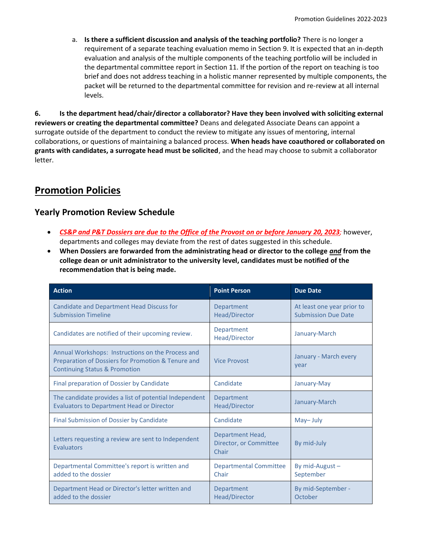a. **Is there a sufficient discussion and analysis of the teaching portfolio?** There is no longer a requirement of a separate teaching evaluation memo in Section 9. It is expected that an in-depth evaluation and analysis of the multiple components of the teaching portfolio will be included in the departmental committee report in Section 11. If the portion of the report on teaching is too brief and does not address teaching in a holistic manner represented by multiple components, the packet will be returned to the departmental committee for revision and re-review at all internal levels.

**6. Is the department head/chair/director a collaborator? Have they been involved with soliciting external reviewers or creating the departmental committee?** Deans and delegated Associate Deans can appoint a surrogate outside of the department to conduct the review to mitigate any issues of mentoring, internal collaborations, or questions of maintaining a balanced process. **When heads have coauthored or collaborated on grants with candidates, a surrogate head must be solicited**, and the head may choose to submit a collaborator letter.

# <span id="page-13-0"></span>**Promotion Policies**

## **Yearly Promotion Review Schedule**

- *CS&P and P&T Dossiers are due to the Office of the Provost on or before January 20, 2023;* however, departments and colleges may deviate from the rest of dates suggested in this schedule.
- **When Dossiers are forwarded from the administrating head or director to the college** *and* **from the college dean or unit administrator to the university level, candidates must be notified of the recommendation that is being made.**

| <b>Action</b>                                                                                                                                       | <b>Point Person</b>                                 | <b>Due Date</b>                                          |
|-----------------------------------------------------------------------------------------------------------------------------------------------------|-----------------------------------------------------|----------------------------------------------------------|
| <b>Candidate and Department Head Discuss for</b><br><b>Submission Timeline</b>                                                                      | Department<br><b>Head/Director</b>                  | At least one year prior to<br><b>Submission Due Date</b> |
| Candidates are notified of their upcoming review.                                                                                                   | Department<br><b>Head/Director</b>                  | January-March                                            |
| Annual Workshops: Instructions on the Process and<br>Preparation of Dossiers for Promotion & Tenure and<br><b>Continuing Status &amp; Promotion</b> | <b>Vice Provost</b>                                 | January - March every<br>year                            |
| Final preparation of Dossier by Candidate                                                                                                           | Candidate                                           | January-May                                              |
| The candidate provides a list of potential Independent<br><b>Evaluators to Department Head or Director</b>                                          | Department<br><b>Head/Director</b>                  | January-March                                            |
| Final Submission of Dossier by Candidate                                                                                                            | Candidate                                           | May-July                                                 |
| Letters requesting a review are sent to Independent<br><b>Evaluators</b>                                                                            | Department Head,<br>Director, or Committee<br>Chair | By mid-July                                              |
| Departmental Committee's report is written and<br>added to the dossier                                                                              | <b>Departmental Committee</b><br>Chair              | By mid-August $-$<br>September                           |
| Department Head or Director's letter written and<br>added to the dossier                                                                            | Department<br><b>Head/Director</b>                  | By mid-September -<br>October                            |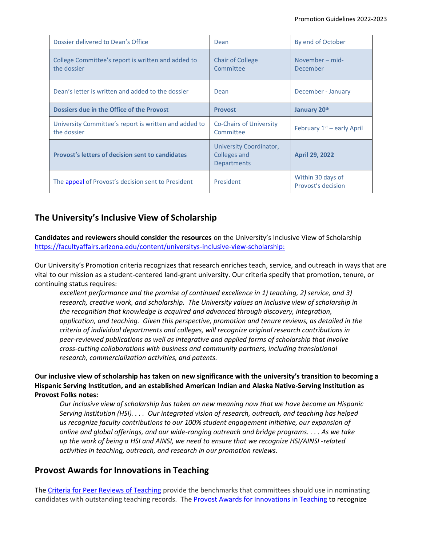| Dossier delivered to Dean's Office                                   | Dean                                                          | By end of October                       |
|----------------------------------------------------------------------|---------------------------------------------------------------|-----------------------------------------|
| College Committee's report is written and added to<br>the dossier    | <b>Chair of College</b><br>Committee                          | November – mid-<br>December             |
| Dean's letter is written and added to the dossier                    | Dean                                                          | December - January                      |
| Dossiers due in the Office of the Provost                            | <b>Provost</b>                                                | January 20th                            |
| University Committee's report is written and added to<br>the dossier | <b>Co-Chairs of University</b><br>Committee                   | February $1st$ – early April            |
| <b>Provost's letters of decision sent to candidates</b>              | University Coordinator,<br>Colleges and<br><b>Departments</b> | <b>April 29, 2022</b>                   |
| The appeal of Provost's decision sent to President                   | President                                                     | Within 30 days of<br>Provost's decision |

# **The University's Inclusive View of Scholarship**

**Candidates and reviewers should consider the resources** on the University's Inclusive View of Scholarship [https://facultyaffairs.arizona.edu/content/universitys-inclusive-view-scholarship:](https://facultyaffairs.arizona.edu/content/universitys-inclusive-view-scholarship)

Our University's Promotion criteria recognizes that research enriches teach, service, and outreach in ways that are vital to our mission as a student-centered land-grant university. Our criteria specify that promotion, tenure, or continuing status requires:

*excellent performance and the promise of continued excellence in 1) teaching, 2) service, and 3) research, creative work, and scholarship. The University values an inclusive view of scholarship in the recognition that knowledge is acquired and advanced through discovery, integration, application, and teaching. Given this perspective, promotion and tenure reviews, as detailed in the criteria of individual departments and colleges, will recognize original research contributions in peer-reviewed publications as well as integrative and applied forms of scholarship that involve cross-cutting collaborations with business and community partners, including translational research, commercialization activities, and patents.* 

### **Our inclusive view of scholarship has taken on new significance with the university's transition to becoming a Hispanic Serving Institution, and an established American Indian and Alaska Native-Serving Institution as Provost Folks notes:**

*Our inclusive view of scholarship has taken on new meaning now that we have become an Hispanic Serving institution (HSI). . . . Our integrated vision of research, outreach, and teaching has helped us recognize faculty contributions to our 100% student engagement initiative, our expansion of online and global offerings, and our wide-ranging outreach and bridge programs. . . . As we take up the work of being a HSI and AINSI, we need to ensure that we recognize HSI/AINSI -related activities in teaching, outreach, and research in our promotion reviews.*

## **Provost Awards for Innovations in Teaching**

Th[e Criteria for Peer Reviews of Teaching](https://facultyaffairs.arizona.edu/sites/default/files/2022-23_CT_CSP_PT_Criteria%20for%20Evaluating%20Teaching%20and%20Provost%20Award%20Nomination.pdf) provide the benchmarks that committees should use in nominating candidates with outstanding teaching records. The [Provost Awards for Innovations in Teaching](https://facultyaffairs.arizona.edu/provost-award-innovations-teaching) to recognize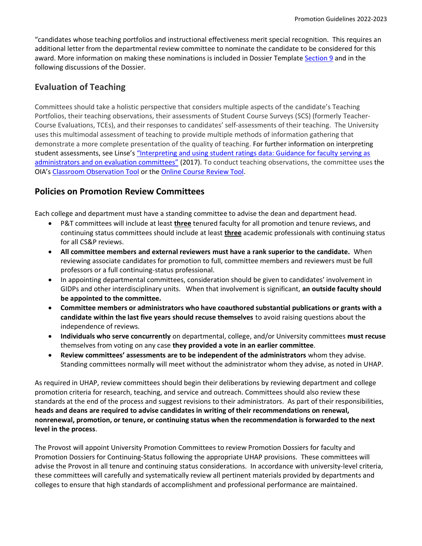"candidates whose teaching portfolios and instructional effectiveness merit special recognition. This requires an additional letter from the departmental review committee to nominate the candidate to be considered for this award. More information on making these nominations is included in Dossier Template [Section 9](https://facultyaffairs.arizona.edu/promotion-dossier-templates) and in the following discussions of the Dossier.

## **Evaluation of Teaching**

Committees should take a holistic perspective that considers multiple aspects of the candidate's Teaching Portfolios, their teaching observations, their assessments of Student Course Surveys (SCS) (formerly Teacher-Course Evaluations, TCEs), and their responses to candidates' self-assessments of their teaching. The University uses this multimodal assessment of teaching to provide multiple methods of information gathering that demonstrate a more complete presentation of the quality of teaching. For further information on interpreting student assessments, see Linse's "Interpreting and using student ratings data: Guidance for faculty serving as [administrators and on evaluation committees](https://www.sciencedirect.com/science/article/pii/S0191491X16300232)" (2017). To conduct teaching observations, the committee uses the OIA's [Classroom](http://teachingprotocol.oia.arizona.edu/) [Observation](https://teachingprotocol.oia.arizona.edu/content/4) Tool or the [Online Course Review Tool.](https://teachingprotocol.oia.arizona.edu/content/6)

## **Policies on Promotion Review Committees**

Each college and department must have a standing committee to advise the dean and department head.

- P&T committees will include at least **three** tenured faculty for all promotion and tenure reviews, and continuing status committees should include at least **three** academic professionals with continuing status for all CS&P reviews.
- **All committee members and external reviewers must have a rank superior to the candidate.** When reviewing associate candidates for promotion to full, committee members and reviewers must be full professors or a full continuing-status professional.
- In appointing departmental committees, consideration should be given to candidates' involvement in GIDPs and other interdisciplinary units. When that involvement is significant, **an outside faculty should be appointed to the committee.**
- **Committee members or administrators who have coauthored substantial publications or grants with a candidate within the last five years should recuse themselves** to avoid raising questions about the independence of reviews.
- **Individuals who serve concurrently** on departmental, college, and/or University committees **must recuse**  themselves from voting on any case **they provided a vote in an earlier committee**.
- **Review committees' assessments are to be independent of the administrators** whom they advise. Standing committees normally will meet without the administrator whom they advise, as noted in UHAP.

As required in UHAP, review committees should begin their deliberations by reviewing department and college promotion criteria for research, teaching, and service and outreach. Committees should also review these standards at the end of the process and suggest revisions to their administrators. As part of their responsibilities, **heads and deans are required to advise candidates in writing of their recommendations on renewal, nonrenewal, promotion, or tenure, or continuing status when the recommendation is forwarded to the next level in the process**.

The Provost will appoint University Promotion Committees to review Promotion Dossiers for faculty and Promotion Dossiers for Continuing-Status following the appropriate UHAP provisions. These committees will advise the Provost in all tenure and continuing status considerations. In accordance with university-level criteria, these committees will carefully and systematically review all pertinent materials provided by departments and colleges to ensure that high standards of accomplishment and professional performance are maintained.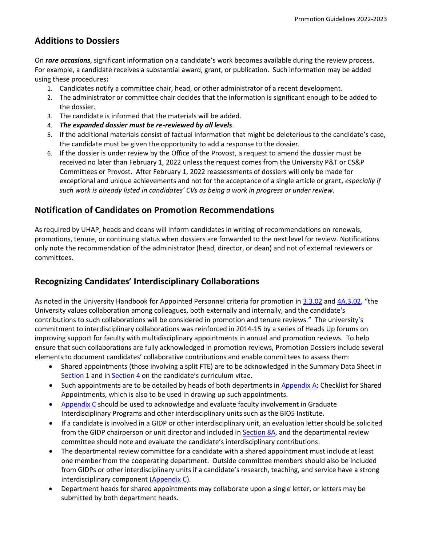## **Additions to Dossiers**

On *rare occasions*, significant information on a candidate's work becomes available during the review process. For example, a candidate receives a substantial award, grant, or publication. Such information may be added using these procedures**:**

- 1. Candidates notify a committee chair, head, or other administrator of a recent development.
- 2. The administrator or committee chair decides that the information is significant enough to be added to the dossier.
- 3. The candidate is informed that the materials will be added.
- 4. *The expanded dossier must be re-reviewed by all levels*.
- 5. If the additional materials consist of factual information that might be deleterious to the candidate's case, the candidate must be given the opportunity to add a response to the dossier.
- 6. If the dossier is under review by the Office of the Provost, a request to amend the dossier must be received no later than February 1, 2022 unless the request comes from the University P&T or CS&P Committees or Provost. After February 1, 2022 reassessments of dossiers will only be made for exceptional and unique achievements and not for the acceptance of a single article or grant, *especially if such work is already listed in candidates' CVs as being a work in progress or under review*.

## **Notification of Candidates on Promotion Recommendations**

As required by UHAP, heads and deans will inform candidates in writing of recommendations on renewals, promotions, tenure, or continuing status when dossiers are forwarded to the next level for review. Notifications only note the recommendation of the administrator (head, director, or dean) and not of external reviewers or committees.

## **Recognizing Candidates' Interdisciplinary Collaborations**

As noted in the University Handbook for Appointed Personnel criteria for promotion in [3.3.02](http://policy.arizona.edu/human-resources/promotion-and-tenure) and [4A.3.02,](http://policy.arizona.edu/human-resources/promotion-and-continuing-status) "the University values collaboration among colleagues, both externally and internally, and the candidate's contributions to such collaborations will be considered in promotion and tenure reviews." The university's commitment to interdisciplinary collaborations was reinforced in 2014-15 by a series of Heads Up forums on improving support for faculty with multidisciplinary appointments in annual and promotion reviews. To help ensure that such collaborations are fully acknowledged in promotion reviews, Promotion Dossiers include several elements to document candidates' collaborative contributions and enable committees to assess them:

- Shared appointments (those involving a split FTE) are to be acknowledged in the Summary Data Sheet in [Section 1](https://facultyaffairs.arizona.edu/content/promotion-dossier-templates) and in [Section 4](https://facultyaffairs.arizona.edu/content/promotion-dossier-templates) on the candidate's curriculum vitae.
- Such appointments are to be detailed by heads of both departments in [Appendix A:](https://facultyaffairs.arizona.edu/content/promotion-dossier-templates) Checklist for Shared Appointments, which is also to be used in drawing up such appointments.
- [Appendix C](https://facultyaffairs.arizona.edu/content/promotion-dossier-templates) should be used to acknowledge and evaluate faculty involvement in Graduate Interdisciplinary Programs and other interdisciplinary units such as the BIO5 Institute.
- If a candidate is involved in a GIDP or other interdisciplinary unit, an evaluation letter should be solicited from the GIDP chairperson or unit director and included in [Section 8A,](https://facultyaffairs.arizona.edu/content/promotion-dossier-templates) and the departmental review committee should note and evaluate the candidate's interdisciplinary contributions.
- The departmental review committee for a candidate with a shared appointment must include at least one member from the cooperating department. Outside committee members should also be included from GIDPs or other interdisciplinary units if a candidate's research, teaching, and service have a strong interdisciplinary component [\(Appendix C\)](https://facultyaffairs.arizona.edu/content/promotion-dossier-templates).
- Department heads for shared appointments may collaborate upon a single letter, or letters may be submitted by both department heads.